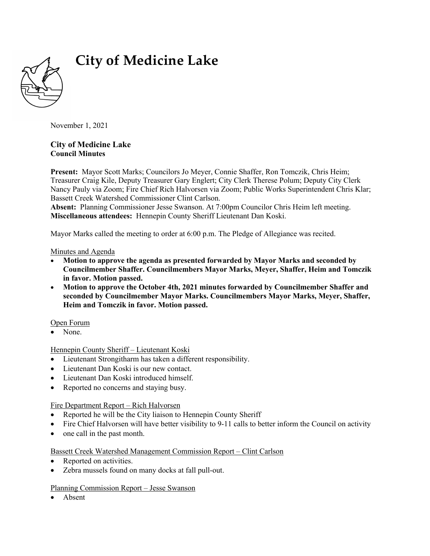

# **City of Medicine Lake**

November 1, 2021

## **City of Medicine Lake Council Minutes**

**Present:** Mayor Scott Marks; Councilors Jo Meyer, Connie Shaffer, Ron Tomczik, Chris Heim; Treasurer Craig Kile, Deputy Treasurer Gary Englert; City Clerk Therese Polum; Deputy City Clerk Nancy Pauly via Zoom; Fire Chief Rich Halvorsen via Zoom; Public Works Superintendent Chris Klar; Bassett Creek Watershed Commissioner Clint Carlson.

**Absent:** Planning Commissioner Jesse Swanson. At 7:00pm Councilor Chris Heim left meeting. **Miscellaneous attendees:** Hennepin County Sheriff Lieutenant Dan Koski.

Mayor Marks called the meeting to order at 6:00 p.m. The Pledge of Allegiance was recited.

Minutes and Agenda

- **Motion to approve the agenda as presented forwarded by Mayor Marks and seconded by Councilmember Shaffer. Councilmembers Mayor Marks, Meyer, Shaffer, Heim and Tomczik in favor. Motion passed.**
- **Motion to approve the October 4th, 2021 minutes forwarded by Councilmember Shaffer and seconded by Councilmember Mayor Marks. Councilmembers Mayor Marks, Meyer, Shaffer, Heim and Tomczik in favor. Motion passed.**

Open Forum

None.

Hennepin County Sheriff – Lieutenant Koski

- Lieutenant Strongitharm has taken a different responsibility.
- Lieutenant Dan Koski is our new contact.
- Lieutenant Dan Koski introduced himself.
- Reported no concerns and staying busy.

Fire Department Report – Rich Halvorsen

- Reported he will be the City liaison to Hennepin County Sheriff
- Fire Chief Halvorsen will have better visibility to 9-11 calls to better inform the Council on activity
- one call in the past month.

## Bassett Creek Watershed Management Commission Report – Clint Carlson

- Reported on activities.
- Zebra mussels found on many docks at fall pull-out.

#### Planning Commission Report – Jesse Swanson

• Absent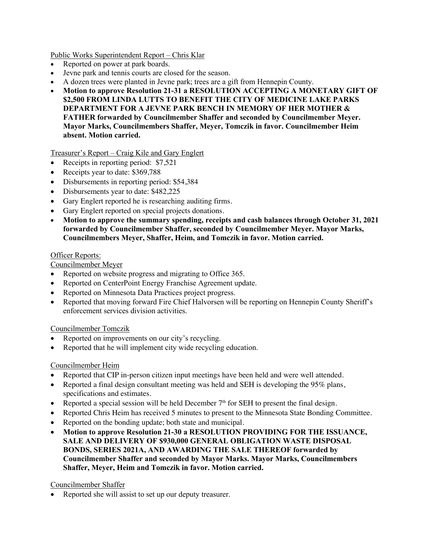Public Works Superintendent Report – Chris Klar

- Reported on power at park boards.
- Jevne park and tennis courts are closed for the season.
- A dozen trees were planted in Jevne park; trees are a gift from Hennepin County.
- **Motion to approve Resolution 21-31 a RESOLUTION ACCEPTING A MONETARY GIFT OF \$2,500 FROM LINDA LUTTS TO BENEFIT THE CITY OF MEDICINE LAKE PARKS DEPARTMENT FOR A JEVNE PARK BENCH IN MEMORY OF HER MOTHER & FATHER forwarded by Councilmember Shaffer and seconded by Councilmember Meyer. Mayor Marks, Councilmembers Shaffer, Meyer, Tomczik in favor. Councilmember Heim absent. Motion carried.**

Treasurer's Report – Craig Kile and Gary Englert

- Receipts in reporting period: \$7,521
- Receipts year to date: \$369,788
- Disbursements in reporting period: \$54,384
- Disbursements year to date: \$482,225
- Gary Englert reported he is researching auditing firms.
- Gary Englert reported on special projects donations.
- **Motion to approve the summary spending, receipts and cash balances through October 31, 2021 forwarded by Councilmember Shaffer, seconded by Councilmember Meyer. Mayor Marks, Councilmembers Meyer, Shaffer, Heim, and Tomczik in favor. Motion carried.**

#### Officer Reports:

Councilmember Meyer

- Reported on website progress and migrating to Office 365.
- Reported on CenterPoint Energy Franchise Agreement update.
- Reported on Minnesota Data Practices project progress.
- Reported that moving forward Fire Chief Halvorsen will be reporting on Hennepin County Sheriff's enforcement services division activities.

#### Councilmember Tomczik

- Reported on improvements on our city's recycling.
- Reported that he will implement city wide recycling education.

#### Councilmember Heim

- Reported that CIP in-person citizen input meetings have been held and were well attended.
- Reported a final design consultant meeting was held and SEH is developing the 95% plans, specifications and estimates.
- Reported a special session will be held December  $7<sup>th</sup>$  for SEH to present the final design.
- Reported Chris Heim has received 5 minutes to present to the Minnesota State Bonding Committee.
- Reported on the bonding update; both state and municipal.
- **Motion to approve Resolution 21-30 a RESOLUTION PROVIDING FOR THE ISSUANCE, SALE AND DELIVERY OF \$930,000 GENERAL OBLIGATION WASTE DISPOSAL BONDS, SERIES 2021A, AND AWARDING THE SALE THEREOF forwarded by Councilmember Shaffer and seconded by Mayor Marks. Mayor Marks, Councilmembers Shaffer, Meyer, Heim and Tomczik in favor. Motion carried.**

## Councilmember Shaffer

Reported she will assist to set up our deputy treasurer.